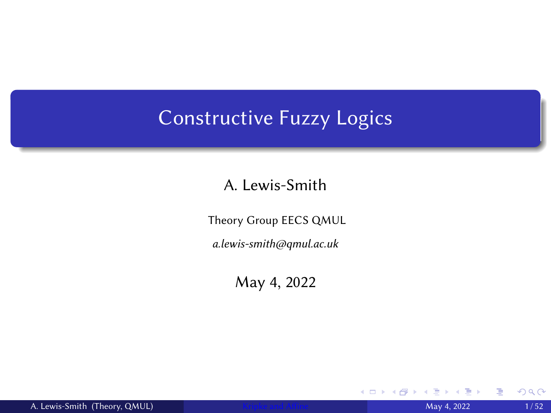## <span id="page-0-0"></span>Constructive Fuzzy Logics

#### A. Lewis-Smith

Theory Group EECS QMUL

a.lewis-smith@qmul.ac.uk

May 4, 2022

 $\leftarrow$   $\Box$ 

≣

 $299$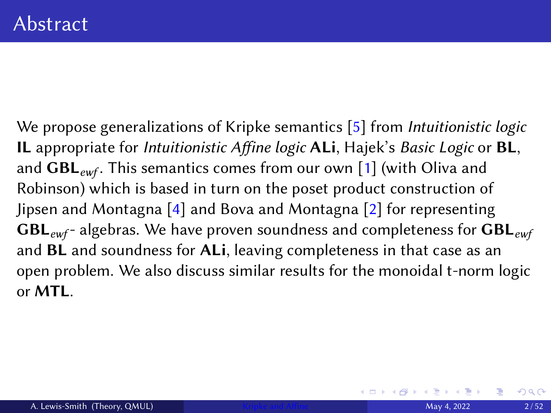We propose generalizations of Kripke semantics [\[5\]](#page-53-0) from *Intuitionistic logic* IL appropriate for Intuitionistic Affine logic ALi, Hajek's Basic Logic or BL, and  $GBL_{ewf}$ . This semantics comes from our own [\[1\]](#page-53-1) (with Oliva and Robinson) which is based in turn on the poset product construction of Jipsen and Montagna [\[4\]](#page-53-2) and Bova and Montagna [\[2\]](#page-53-3) for representing  $GBL_{ewf}$ - algebras. We have proven soundness and completeness for  $GBL_{ewf}$ and BL and soundness for ALi, leaving completeness in that case as an open problem. We also discuss similar results for the monoidal t-norm logic or MTL.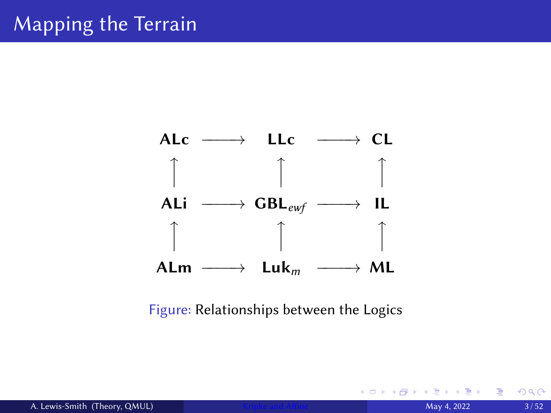

Figure: Relationships between the Logics

4 0 F

重

 $2Q$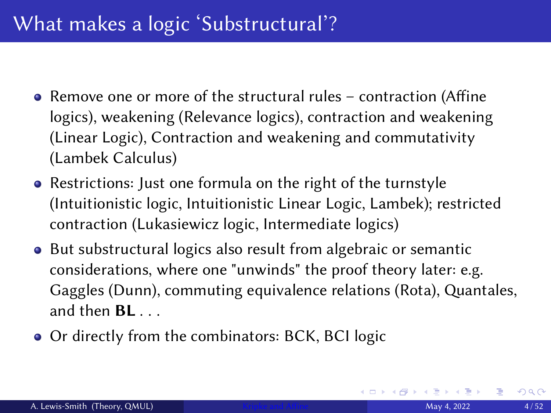- Remove one or more of the structural rules contraction (Affine logics), weakening (Relevance logics), contraction and weakening (Linear Logic), Contraction and weakening and commutativity (Lambek Calculus)
- Restrictions: Just one formula on the right of the turnstyle (Intuitionistic logic, Intuitionistic Linear Logic, Lambek); restricted contraction (Lukasiewicz logic, Intermediate logics)
- But substructural logics also result from algebraic or semantic considerations, where one "unwinds" the proof theory later: e.g. Gaggles (Dunn), commuting equivalence relations (Rota), Quantales, and then  $BL$  ...
- Or directly from the combinators: BCK, BCI logic

 $QQ$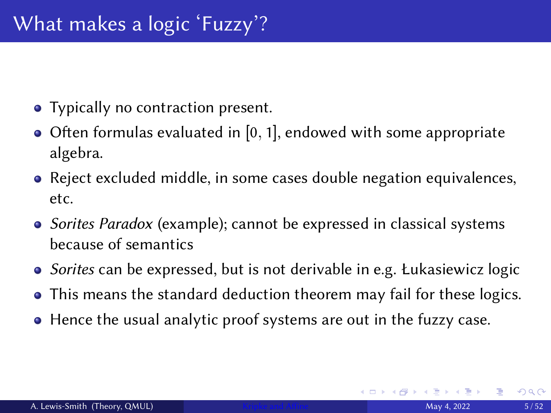- Typically no contraction present.
- $\bullet$  Often formulas evaluated in [0, 1], endowed with some appropriate algebra.
- Reject excluded middle, in some cases double negation equivalences, etc.
- Sorites Paradox (example); cannot be expressed in classical systems because of semantics
- Sorites can be expressed, but is not derivable in e.g. Łukasiewicz logic
- This means the standard deduction theorem may fail for these logics.
- Hence the usual analytic proof systems are out in the fuzzy case.

つくへ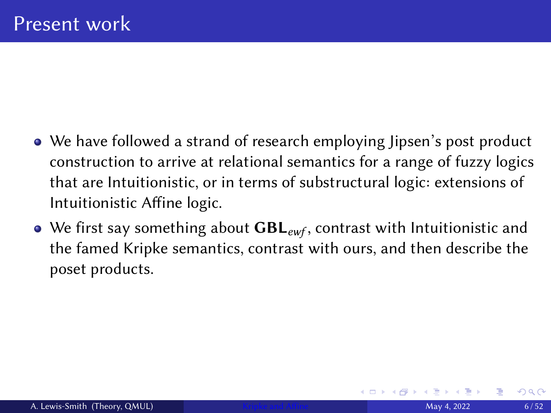- We have followed a strand of research employing Jipsen's post product construction to arrive at relational semantics for a range of fuzzy logics that are Intuitionistic, or in terms of substructural logic: extensions of Intuitionistic Affine logic.
- We first say something about  $GBL_{ewf}$ , contrast with Intuitionistic and the famed Kripke semantics, contrast with ours, and then describe the poset products.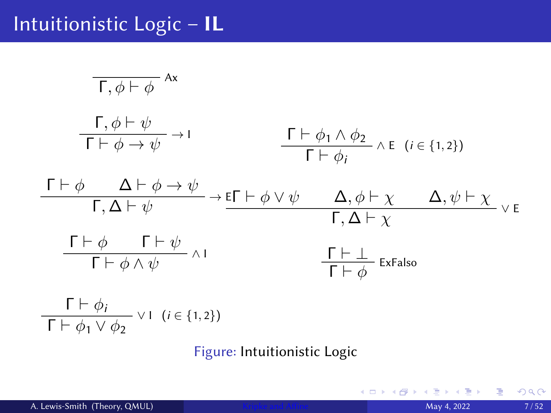## Intuitionistic Logic – IL

$$
\frac{\Gamma, \phi \vdash \phi}{\Gamma \vdash \phi \rightarrow \psi}^{Ax}
$$
\n
$$
\frac{\Gamma, \phi \vdash \psi}{\Gamma \vdash \phi \rightarrow \psi} \rightarrow I
$$
\n
$$
\frac{\Gamma \vdash \phi_1 \land \phi_2}{\Gamma \vdash \phi_i} \land E \ (i \in \{1, 2\})
$$
\n
$$
\frac{\Gamma \vdash \phi \quad \Delta \vdash \phi \rightarrow \psi}{\Gamma, \Delta \vdash \psi} \rightarrow E\Gamma \vdash \phi \lor \psi \quad \Delta, \phi \vdash \chi \quad \Delta, \psi \vdash \chi}{\Gamma, \Delta \vdash \chi} \lor E
$$
\n
$$
\frac{\Gamma \vdash \phi \quad \Gamma \vdash \psi}{\Gamma \vdash \phi \land \psi} \land I
$$
\n
$$
\frac{\Gamma \vdash \bot}{\Gamma \vdash \phi} ExFalso
$$
\n
$$
\frac{\Gamma \vdash \phi_i}{\Gamma \vdash \phi_1 \lor \phi_2} \lor I \ (i \in \{1, 2\})
$$

Figure: Intuitionistic Logic

∍ ¢.

重す 唐

**K ロ ▶ K 倒 ▶**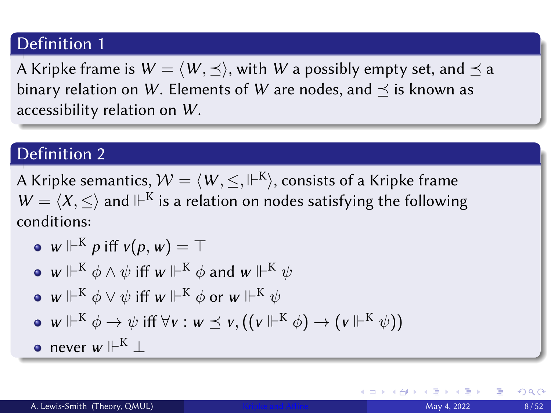A Kripke frame is  $W = \langle W, \preceq \rangle$ , with W a possibly empty set, and  $\preceq$  a binary relation on W. Elements of W are nodes, and  $\prec$  is known as accessibility relation on W.

#### Definition 2

A Kripke semantics,  $\mathcal{W} = \langle$   $W, \leq, \Vdash^{\text{K}} \rangle,$  consists of a Kripke frame  $W = \langle X, \leq \rangle$  and  $\mathbb{H}^K$  is a relation on nodes satisfying the following conditions:

\n- $$
w \Vdash^{K} p
$$
 iff  $v(p, w) = \top$
\n- $w \Vdash^{K} \phi \land \psi$  iff  $w \Vdash^{K} \phi$  and  $w \Vdash^{K} \psi$
\n- $w \Vdash^{K} \phi \lor \psi$  iff  $w \Vdash^{K} \phi$  or  $w \Vdash^{K} \psi$
\n- $w \Vdash^{K} \phi \rightarrow \psi$  iff  $\forall v : w \leq v, ((v \Vdash^{K} \phi) \rightarrow (v \Vdash^{K} \psi))$
\n- never  $w \Vdash^{K} \bot$
\n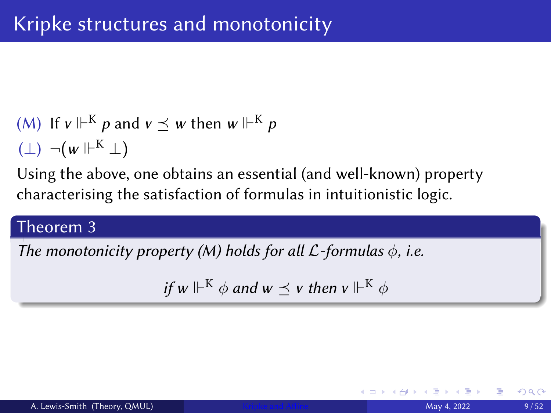(M) If 
$$
v \Vdash^{K} p
$$
 and  $v \preceq w$  then  $w \Vdash^{K} p$   
( $\bot$ )  $\neg(w \Vdash^{K} \bot)$ 

Using the above, one obtains an essential (and well-known) property characterising the satisfaction of formulas in intuitionistic logic.

## Theorem 3

The monotonicity property (M) holds for all  $\mathcal{L}$ -formulas  $\phi$ , i.e.

if w  $\Vdash^K \phi$  and  $w \preceq v$  then  $v \Vdash^K \phi$ 

 $2Q$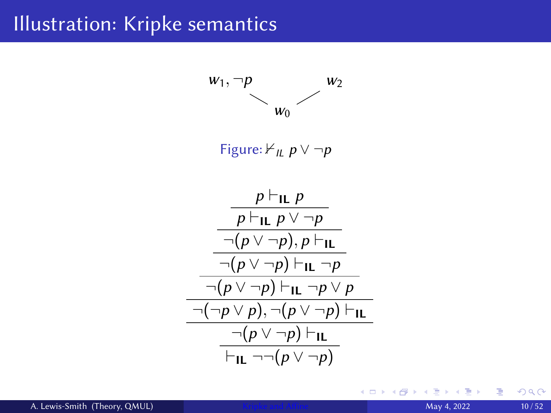## Illustration: Kripke semantics



4 D F

≣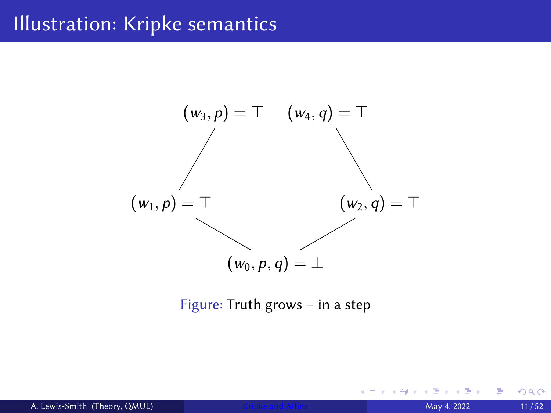## Illustration: Kripke semantics



#### Figure: Truth grows – in a step

4 D F

 $2Q$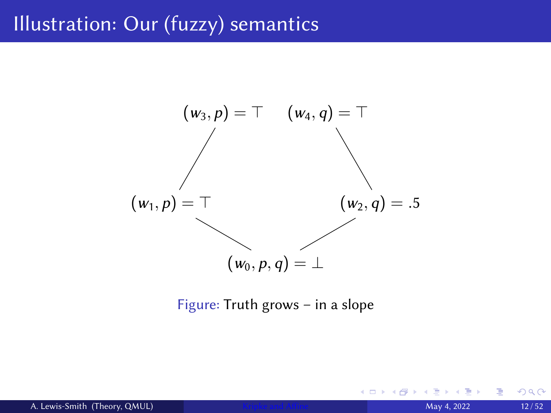## Illustration: Our (fuzzy) semantics



#### Figure: Truth grows – in a slope

4 D F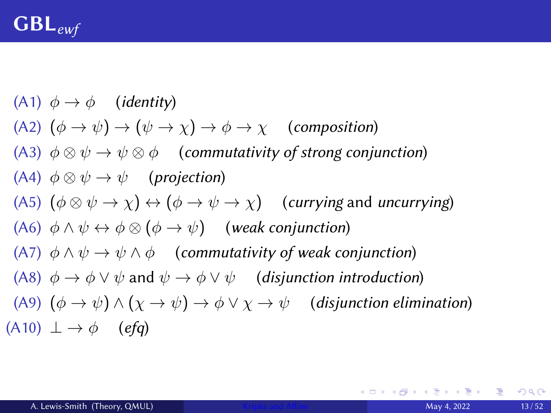<span id="page-12-0"></span>(A1)  $\phi \rightarrow \phi$  (*identity*) (A2)  $(\phi \to \psi) \to (\psi \to \chi) \to \phi \to \chi$  (composition) (A3)  $\phi \otimes \psi \to \psi \otimes \phi$  (commutativity of strong conjunction) (A4)  $\phi \otimes \psi \rightarrow \psi$  (projection) (A5)  $(\phi \otimes \psi \rightarrow \chi) \leftrightarrow (\phi \rightarrow \psi \rightarrow \chi)$  (currying and uncurrying) (A6)  $\phi \land \psi \leftrightarrow \phi \otimes (\phi \rightarrow \psi)$  (weak conjunction) (A7)  $\phi \land \psi \rightarrow \psi \land \phi$  (commutativity of weak conjunction) (A8)  $\phi \rightarrow \phi \lor \psi$  and  $\psi \rightarrow \phi \lor \psi$  (disjunction introduction) (A9)  $(\phi \to \psi) \land (\chi \to \psi) \to \phi \lor \chi \to \psi$  (disjunction elimination)  $(A10) \perp \rightarrow \phi$  (efg)

**KID KIN KED KED E 1990**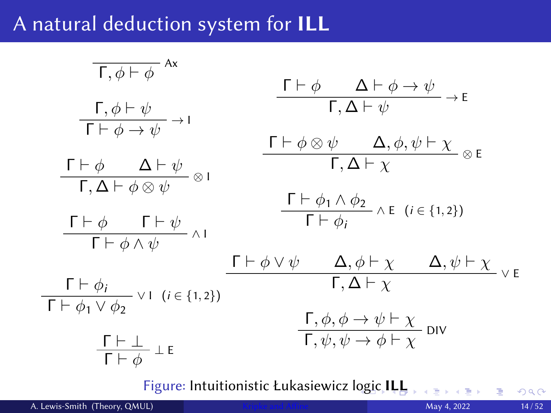## <span id="page-13-0"></span>A natural deduction system for ILL

| $\overline{\Gamma, \phi \vdash \phi}$         | $\overline{\Lambda}$                                                   |                                                                                              |                                                   |          |
|-----------------------------------------------|------------------------------------------------------------------------|----------------------------------------------------------------------------------------------|---------------------------------------------------|----------|
| $\Gamma, \phi \vdash \psi$                    | $\Gamma \vdash \phi \quad \Delta \vdash \phi \rightarrow \psi$         | $\neg$                                                                                       |                                                   |          |
| $\Gamma \vdash \phi \quad \Delta \vdash \psi$ | $\Gamma \vdash \phi \otimes \psi \quad \Delta, \phi, \psi \vdash \chi$ | $\otimes E$                                                                                  |                                                   |          |
| $\Gamma \vdash \phi \quad \Delta \vdash \psi$ | $\otimes I$                                                            | $\Gamma \vdash \phi \otimes \psi \quad \Delta, \phi, \psi \vdash \chi$                       | $\otimes E$                                       |          |
| $\Gamma \vdash \phi \quad \Gamma \vdash \psi$ | $\Gamma \vdash \phi_1 \land \phi_2$                                    | $\wedge E \quad (i \in \{1, 2\})$                                                            |                                                   |          |
| $\Gamma \vdash \phi \land \psi$               | $\wedge I$                                                             | $\Gamma \vdash \phi_1 \land \phi_2$                                                          | $\wedge E \quad (i \in \{1, 2\})$                 |          |
| $\Gamma \vdash \phi_1 \lor \phi_2$            | $\vee$                                                                 | $\Gamma \vdash \phi \lor \psi \quad \Delta, \phi \vdash \chi \quad \Delta, \psi \vdash \chi$ | $\vee E$                                          |          |
| $\Gamma \vdash \phi_1 \lor \phi_2$            | $\vee$                                                                 | $\Gamma, \Delta \vdash \chi$                                                                 | $\Gamma, \phi, \phi \rightarrow \psi \vdash \chi$ | $\vee E$ |
| $\Gamma \vdash \phi_1 \lor \phi_2$            | $\Gamma \vdash \phi \lor \psi \quad \Delta, \phi \vdash \chi$          | $\Gamma, \phi, \phi \rightarrow \psi \vdash \chi$                                            | $\vee E$                                          |          |

<span id="page-13-1"></span>Figure: Intuitionistic Łukasiewicz [log](#page-12-0)i[c](#page-14-0) [IL](#page-12-0)[L](#page-13-0)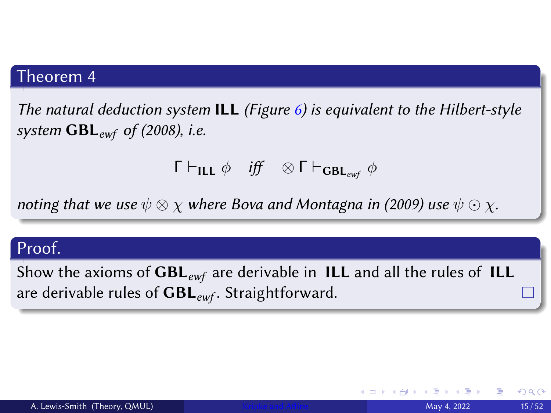#### <span id="page-14-0"></span>Theorem 4

The natural deduction system **ILL** (Figure  $6$ ) is equivalent to the Hilbert-style system  $GBL_{ewf}$  of (2008), i.e.

 $Γ ⊢$ <sub>ILL</sub>  $\phi$  *iff*  $\otimes$  Γ  $\vdash$ <sub>GBL<sub>ewf</sub>  $\phi$ </sub>

noting that we use  $\psi \otimes \chi$  where Bova and Montagna in (2009) use  $\psi \odot \chi$ .

#### Proof.

Show the axioms of  $GBL_{ewf}$  are derivable in ILL and all the rules of ILL are derivable rules of  $GBL_{ewf}$ . Straightforward.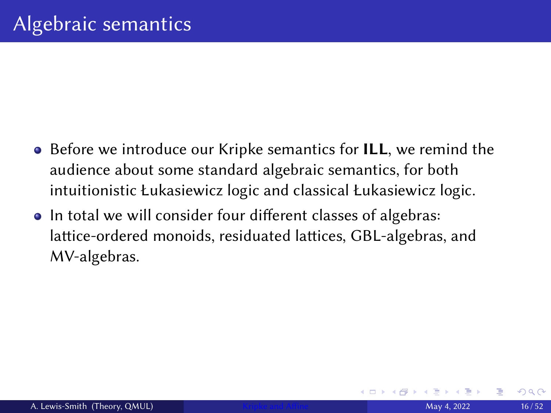- Before we introduce our Kripke semantics for ILL, we remind the audience about some standard algebraic semantics, for both intuitionistic Łukasiewicz logic and classical Łukasiewicz logic.
- In total we will consider four different classes of algebras: lattice-ordered monoids, residuated lattices, GBL-algebras, and MV-algebras.

つひひ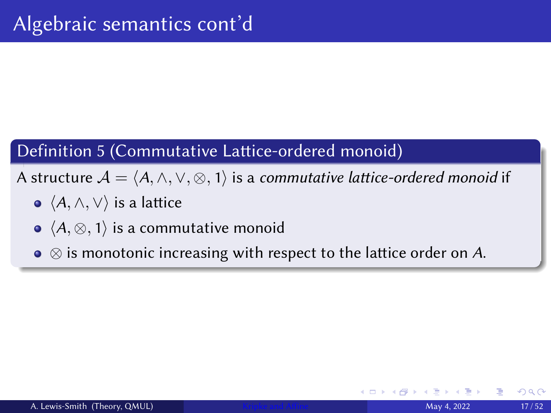## Definition 5 (Commutative Lattice-ordered monoid)

A structure  $\mathcal{A} = \langle A, \wedge, \vee, \otimes, 1 \rangle$  is a commutative lattice-ordered monoid if

- $\bullet \ \langle A, \wedge, \vee \rangle$  is a lattice
- $\bullet \ \langle A, \otimes, 1 \rangle$  is a commutative monoid
- $\bullet \otimes$  is monotonic increasing with respect to the lattice order on A.

つひへ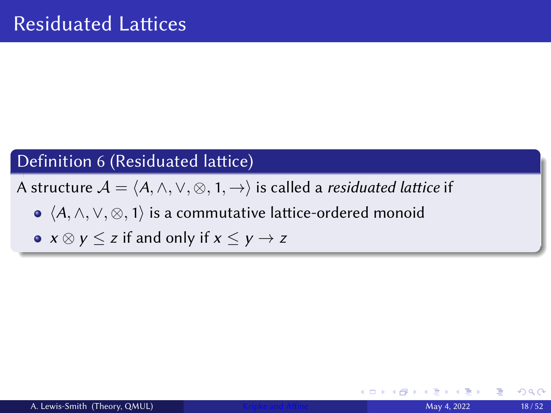## Definition 6 (Residuated lattice)

A structure  $A = \langle A, \wedge, \vee, \otimes, 1, \rightarrow \rangle$  is called a *residuated lattice* if

- $\bullet$   $\langle A, \wedge, \vee, \otimes, 1 \rangle$  is a commutative lattice-ordered monoid
- $x \otimes y \leq z$  if and only if  $x \leq y \rightarrow z$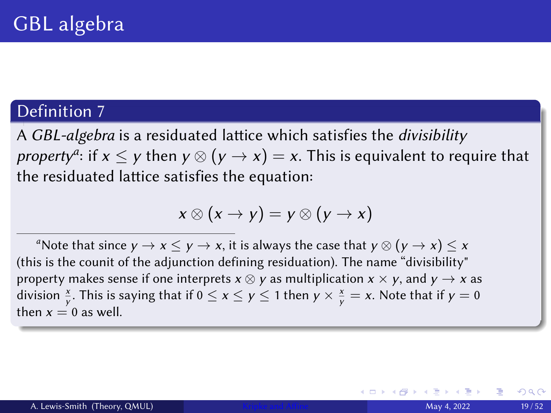A GBL-algebra is a residuated lattice which satisfies the divisibility *property<sup>a</sup>:* if  $x \le y$  then  $y \otimes (y \to x) = x.$  This is equivalent to require that the residuated lattice satisfies the equation:

$$
x\otimes (x\rightarrow y)=y\otimes (y\rightarrow x)
$$

<sup>a</sup>Note that since  $y \to x \leq y \to x$ , it is always the case that  $y \otimes (y \to x) \leq x$ (this is the counit of the adjunction defining residuation). The name "divisibility" property makes sense if one interprets  $x \otimes y$  as multiplication  $x \times y$ , and  $y \to x$  as division  $\frac{x}{y}$ . This is saying that if  $0 \le x \le y \le 1$  then  $y \times \frac{x}{y} = x$ . Note that if  $y = 0$ then  $x = 0$  as well.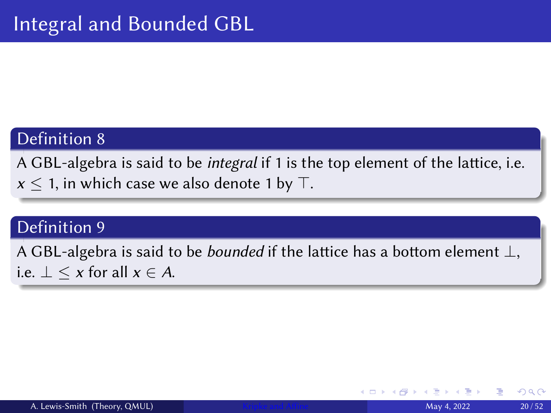A GBL-algebra is said to be *integral* if 1 is the top element of the lattice, i.e.  $x \leq 1$ , in which case we also denote 1 by  $\top$ .

### Definition 9

A GBL-algebra is said to be *bounded* if the lattice has a bottom element  $\perp$ , i.e.  $\perp \leq x$  for all  $x \in A$ .

つくへ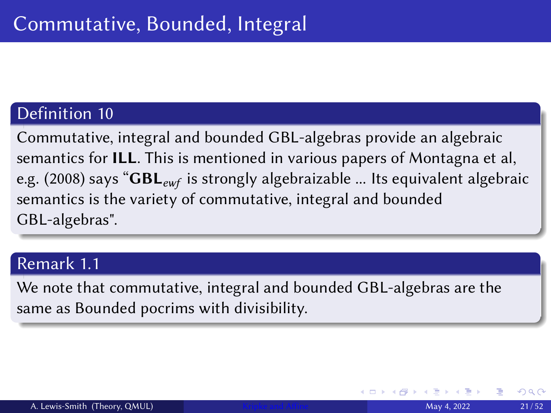Commutative, integral and bounded GBL-algebras provide an algebraic semantics for ILL. This is mentioned in various papers of Montagna et al, e.g. (2008) says " $GBL_{ewf}$  is strongly algebraizable ... Its equivalent algebraic semantics is the variety of commutative, integral and bounded GBL-algebras".

#### Remark 1.1

We note that commutative, integral and bounded GBL-algebras are the same as Bounded pocrims with divisibility.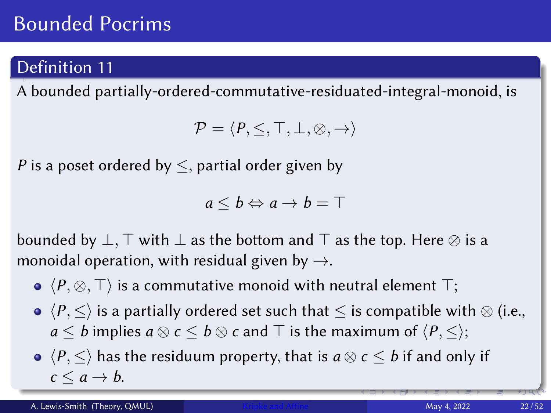## Bounded Pocrims

## Definition 11

A bounded partially-ordered-commutative-residuated-integral-monoid, is

$$
\mathcal{P} = \langle P, \leq, \top, \bot, \otimes, \to \rangle
$$

P is a poset ordered by  $\leq$ , partial order given by

$$
a\leq b \Leftrightarrow a\rightarrow b=\top
$$

bounded by  $\perp$ ,  $\top$  with  $\perp$  as the bottom and  $\top$  as the top. Here  $\otimes$  is a monoidal operation, with residual given by  $\rightarrow$ .

- $\bullet$   $\langle P, \otimes, \top \rangle$  is a commutative monoid with neutral element  $\top$ ;
- $\bullet \langle P, \leq \rangle$  is a partially ordered set such that  $\leq$  is compatible with  $\otimes$  (i.e.,  $a \leq b$  implies  $a \otimes c \leq b \otimes c$  and  $\top$  is the maximum of  $\langle P, \leq \rangle$ ;
- $\bullet \langle P, \leq \rangle$  has the residuum property, that is  $a \otimes c \leq b$  if and only if  $c \leq a \rightarrow b$ .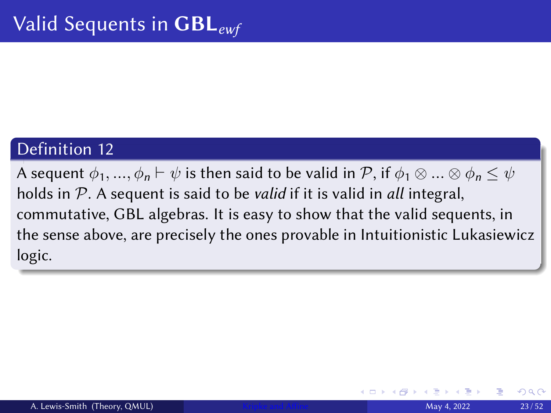A sequent  $\phi_1, ..., \phi_n \vdash \psi$  is then said to be valid in P, if  $\phi_1 \otimes ... \otimes \phi_n \leq \psi$ holds in  $P$ . A sequent is said to be *valid* if it is valid in *all* integral, commutative, GBL algebras. It is easy to show that the valid sequents, in the sense above, are precisely the ones provable in Intuitionistic Lukasiewicz logic.

つひひ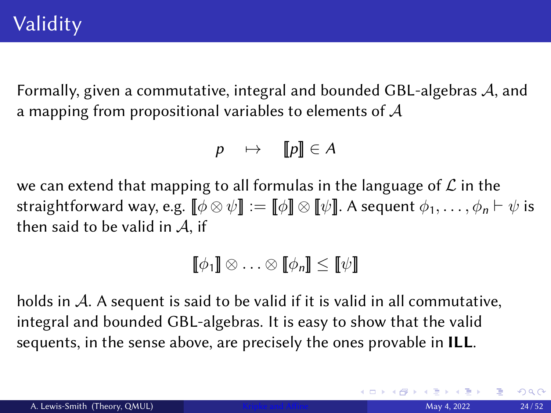Formally, given a commutative, integral and bounded GBL-algebras A, and a mapping from propositional variables to elements of  $A$ 

$$
p \quad \mapsto \quad \llbracket p \rrbracket \in A
$$

we can extend that mapping to all formulas in the language of  $\mathcal L$  in the straightforward way, e.g.  $[\![\phi \otimes \psi ]\!] := [\![\phi ]\!] \otimes [\![\psi ]\!]$ . A sequent  $\phi_1, \ldots, \phi_n \vdash \psi$  is then said to be valid in  $A$ , if

$$
\llbracket \phi_1 \rrbracket \otimes \ldots \otimes \llbracket \phi_n \rrbracket \leq \llbracket \psi \rrbracket
$$

holds in A. A sequent is said to be valid if it is valid in all commutative, integral and bounded GBL-algebras. It is easy to show that the valid sequents, in the sense above, are precisely the ones provable in ILL.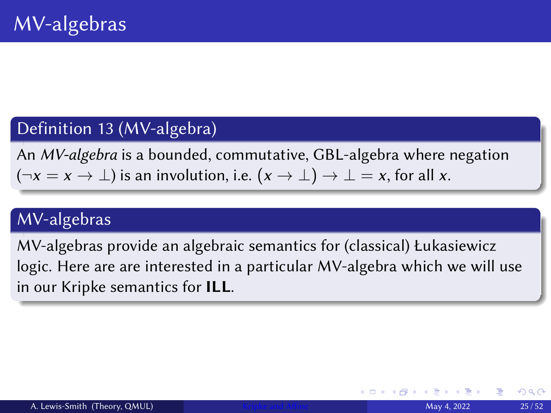## Definition 13 (MV-algebra)

An MV-algebra is a bounded, commutative, GBL-algebra where negation  $(\neg x = x \rightarrow \bot)$  is an involution, i.e.  $(x \rightarrow \bot) \rightarrow \bot = x$ , for all x.

## MV-algebras

MV-algebras provide an algebraic semantics for (classical) Łukasiewicz logic. Here are are interested in a particular MV-algebra which we will use in our Kripke semantics for ILL.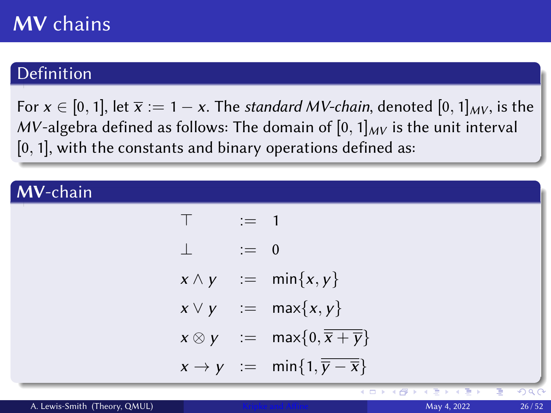## **MV** chains

## Definition

For  $x \in [0, 1]$ , let  $\overline{x} := 1 - x$ . The standard MV-chain, denoted  $[0, 1]_{MV}$ , is the MV-algebra defined as follows: The domain of  $[0, 1]_{MV}$  is the unit interval  $[0, 1]$ , with the constants and binary operations defined as:

## MV-chain

$$
T := 1
$$
  
\n
$$
\perp := 0
$$
  
\n
$$
x \wedge y := \min\{x, y\}
$$
  
\n
$$
x \vee y := \max\{x, y\}
$$
  
\n
$$
x \otimes y := \max\{0, \overline{x + \overline{y}}\}
$$
  
\n
$$
x \rightarrow y := \min\{1, \overline{y - \overline{x}}\}
$$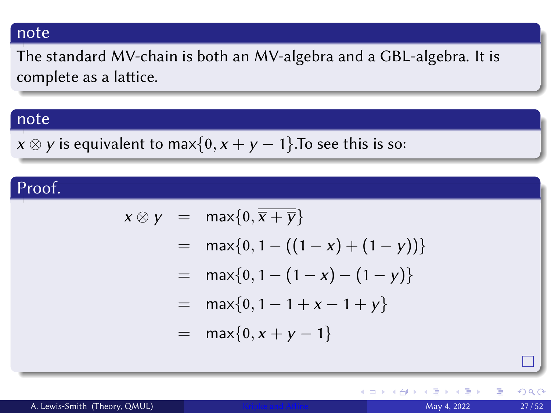#### note

The standard MV-chain is both an MV-algebra and a GBL-algebra. It is complete as a lattice.

#### note

 $x \otimes y$  is equivalent to max $\{0, x + y - 1\}$ . To see this is so:

### Proof.

$$
x \otimes y = \max\{0, \overline{x + \overline{y}}\}
$$
  
=  $\max\{0, 1 - ((1 - x) + (1 - y))\}$   
=  $\max\{0, 1 - (1 - x) - (1 - y)\}$   
=  $\max\{0, 1 - 1 + x - 1 + y\}$   
=  $\max\{0, x + y - 1\}$ 

4 0 8 4

重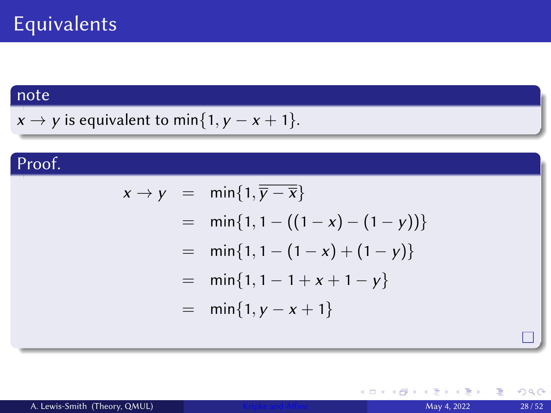#### note

$$
x \rightarrow y
$$
 is equivalent to min{1,  $y - x + 1$  }.

## Proof.

$$
x \rightarrow y = \min\{1, \overline{y} - \overline{x}\}\
$$
  
=  $\min\{1, 1 - ((1 - x) - (1 - y))\}\$   
=  $\min\{1, 1 - (1 - x) + (1 - y)\}\$   
=  $\min\{1, 1 - 1 + x + 1 - y\}\$   
=  $\min\{1, y - x + 1\}$ 

(□ ) ( ) →

È.  $\mathbf{A}$ 

 $\prec$  $\mathbf{p}$  重

 $299$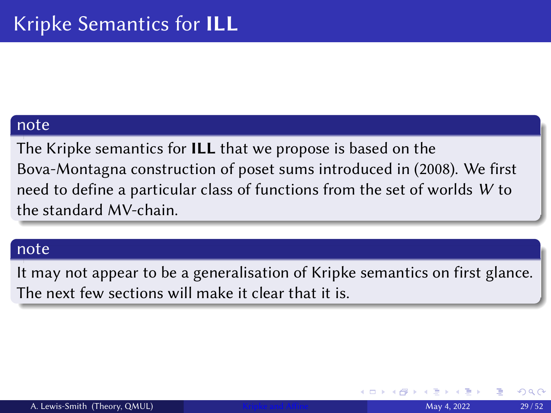#### note

The Kripke semantics for ILL that we propose is based on the Bova-Montagna construction of poset sums introduced in (2008). We first need to define a particular class of functions from the set of worlds W to the standard MV-chain.

#### note

It may not appear to be a generalisation of Kripke semantics on first glance. The next few sections will make it clear that it is.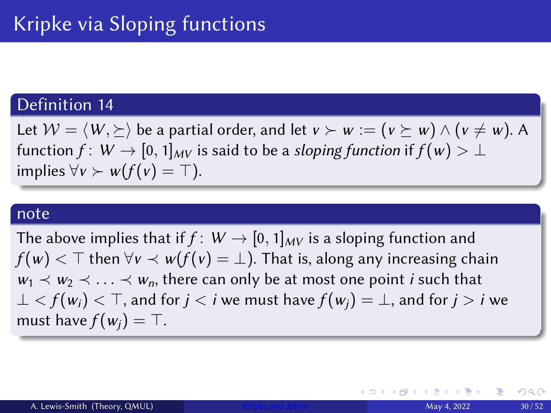Let  $W = \langle W, \succeq \rangle$  be a partial order, and let  $v \succ w := (v \succeq w) \wedge (v \neq w)$ . A function  $f: W \to [0, 1]_{MV}$  is said to be a sloping function if  $f(w) > \perp$ implies  $\forall v \succ w(f(v) = \top)$ .

#### note

The above implies that if  $f: W \to [0, 1]_{MV}$  is a sloping function and  $f(w)$   $\leq$  T then  $\forall v \leq w(f(v) = \bot)$ . That is, along any increasing chain  $w_1 \prec w_2 \prec \ldots \prec w_n$ , there can only be at most one point *i* such that ⊥  $\leq f(w_i)$   $\lt$   $\top$ , and for  $j < i$  we must have  $f(w_i) = \bot$ , and for  $j > i$  we must have  $f(w_i) = \top$ .

∢ ロ ▶ ∢ 御 ▶ ∢ 重 ▶ ∢ 重 ▶ …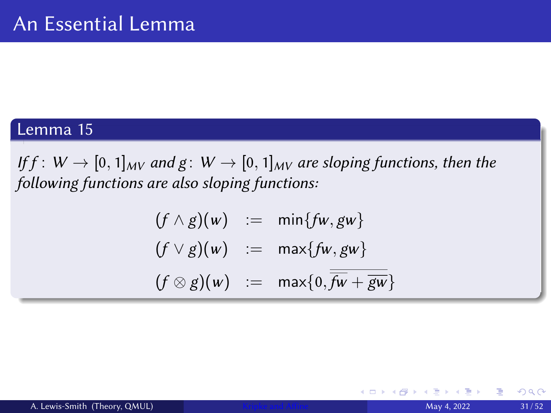### Lemma 15

<span id="page-30-0"></span>If  $f: W \to [0, 1]_{MV}$  and  $g: W \to [0, 1]_{MV}$  are sloping functions, then the following functions are also sloping functions:

$$
(f \wedge g)(w) := \min\{fw, gw\}
$$
  

$$
(f \vee g)(w) := \max\{fw, gw\}
$$
  

$$
(f \otimes g)(w) := \max\{0, \overline{fw} + \overline{gw}\}
$$

4 0 8

 $2Q$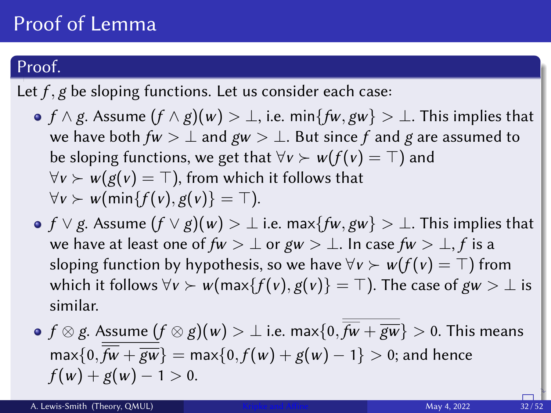## Proof of Lemma

## Proof.

Let  $f$ ,  $g$  be sloping functions. Let us consider each case:

- f  $\land$  g. Assume  $(f \land g)(w) > \bot$ , i.e. min{fw, gw}  $> \bot$ . This implies that we have both  $fw > \perp$  and  $gw > \perp$ . But since f and g are assumed to be sloping functions, we get that  $\forall v \succ w(f(v) = \top)$  and  $\forall v \succ w(g(v) = \top)$ , from which it follows that  $\forall v \succ w$ (min $\{f(v), g(v)\} = \top$ ).
- $\bullet$  f  $\vee$  g. Assume  $(f \vee g)(w) > \perp$  i.e. max $\{fw, gw\} > \perp$ . This implies that we have at least one of  $fw > \perp$  or  $gw > \perp$ . In case  $fw > \perp$ , f is a sloping function by hypothesis, so we have  $\forall v > w(f(v) = \top)$  from which it follows  $\forall v \succ w(\max\{f(v), g(v)\} = \top)$ . The case of  $gw > \bot$  is similar.

• 
$$
f \otimes g
$$
. Assume  $(f \otimes g)(w) > \bot$  i.e. max $\{0, \overline{fw} + \overline{gw}\} > 0$ . This means  
max $\{0, \overline{fw} + \overline{gw}\} = \max\{0, f(w) + g(w) - 1\} > 0$ ; and hence  
 $f(w) + g(w) - 1 > 0$ .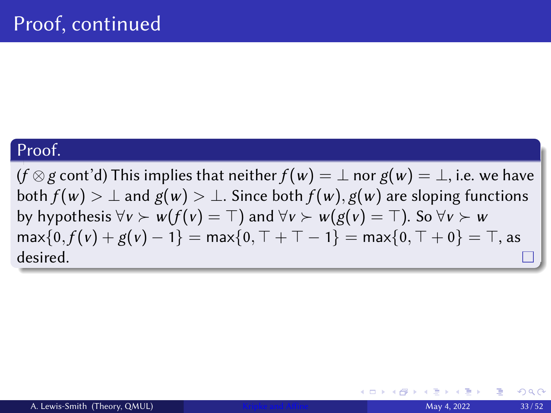$(f \otimes g \text{ cont'} d)$  This implies that neither  $f(w) = \perp$  nor  $g(w) = \perp$ , i.e. we have both  $f(w) > \perp$  and  $g(w) > \perp$ . Since both  $f(w)$ ,  $g(w)$  are sloping functions by hypothesis  $\forall v > w(f(v) = \top)$  and  $\forall v > w(g(v) = \top)$ . So  $\forall v > w$  $max\{0, f(v) + g(v) - 1\} = max\{0, \top + \top - 1\} = max\{0, \top + 0\} = \top$ , as desired.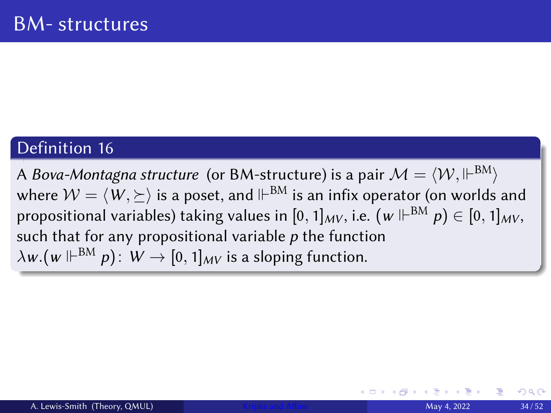A *Bova-Montagna structure* (or BM-structure) is a pair  $\mathcal{M}=\langle\mathcal{W},\Vdash^{BM}\rangle$ where  $\mathcal{W}=\langle \, W, \succeq \rangle$  is a poset, and  $\Vdash^{\mathrm{BM}}$  is an infix operator (on worlds and propositional variables) taking values in  $[0,1]_{MV}$ , i.e.  $\left(\mathsf{w} \Vdash^{\text{BM}} p\right) \in [0,1]_{MV}$ , such that for any propositional variable  $p$  the function  $\lambda {\sf w}.({\sf w} \Vdash^{\mathrm{BM}} \rho) \colon\thinspace {\sf W} \to [0,1]_{M{\sf V}}$  is a sloping function.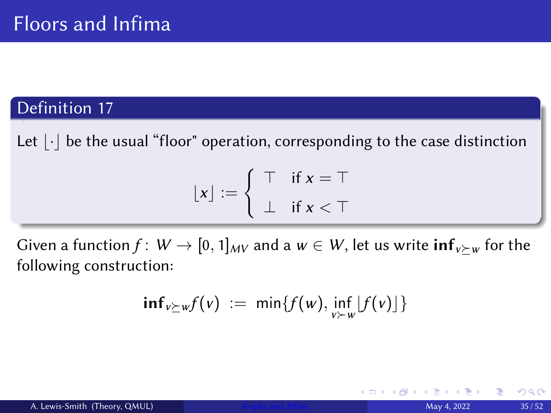<span id="page-34-0"></span>Let  $|\cdot|$  be the usual "floor" operation, corresponding to the case distinction

$$
\lfloor x \rfloor := \left\{ \begin{array}{ll} \top & \text{if } x = \top \\ \bot & \text{if } x < \top \end{array} \right.
$$

Given a function  $f: W \to [0, 1]_{MV}$  and a  $w \in W$ , let us write  $\inf_{v \geq w}$  for the following construction:

$$
\mathbf{inf}_{v \succeq w} f(v) := \min \{ f(w), \inf_{v \succ w} [f(v)] \}
$$

つくへ

4 0 8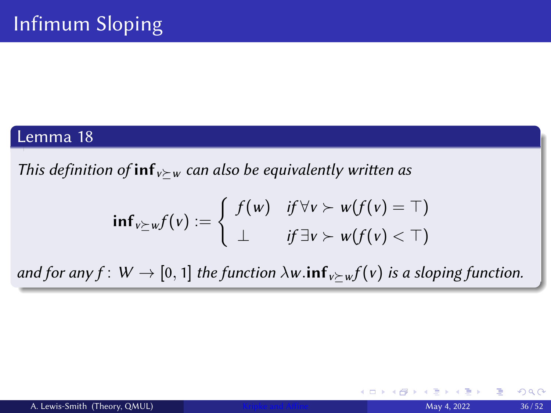#### Lemma 18

<span id="page-35-0"></span>This definition of  $inf_{v\succ w}$  can also be equivalently written as

$$
\mathbf{inf}_{v \succeq w} f(v) := \begin{cases} f(w) & \text{if } \forall v \succ w(f(v) = \top) \\ \bot & \text{if } \exists v \succ w(f(v) < \top) \end{cases}
$$

and for any  $f: W \to [0, 1]$  the function  $\lambda w$  in  $f_{v \succ w} f(v)$  is a sloping function.

 $\leftarrow$   $\Box$ 

 $QQ$ 

4. 重 トー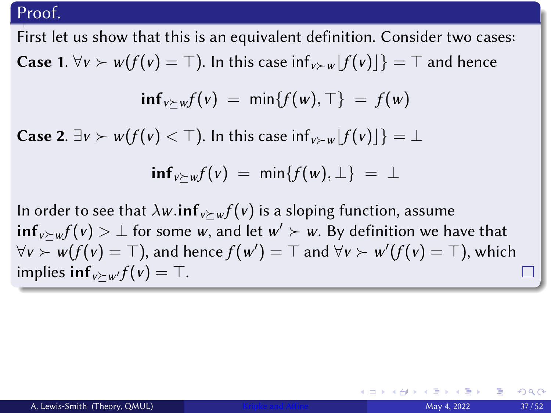First let us show that this is an equivalent definition. Consider two cases: **Case 1.**  $\forall v > w(f(v) = \top$ ). In this case inf<sub>v≻w</sub> $|f(v)|$ } =  $\top$  and hence

$$
\inf_{v \succeq w} f(v) = \min \{f(w), \top\} = f(w)
$$

**Case 2.**  $\exists v \succ w(f(v) < \top)$ . In this case  $\inf_{v \succ w} |f(v)|$  =  $\bot$ 

$$
\inf_{v \succeq w} f(v) = \min \{f(w), \perp\} = \perp
$$

In order to see that  $\lambda w$ .inf<sub>v</sub> $\succ w f(v)$  is a sloping function, assume  $\mathsf{inf}_{v\succeq w} f(v) > \bot$  for some  $w,$  and let  $w' \succ w.$  By definition we have that  $\forall v \succ w(f(v) = \top)$ , and hence  $f(w') = \top$  and  $\forall v \succ w'(f(v) = \top)$ , which implies  $\inf_{v\succ w'} f(v) = \top$ .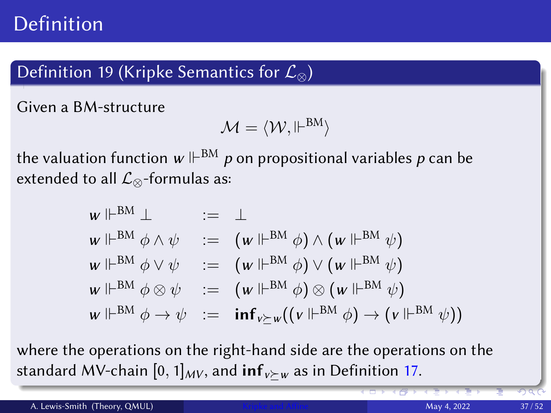## Definition 19 (Kripke Semantics for  $\mathcal{L}_{\infty}$ )

Given a BM-structure

$$
\mathcal{M}=\langle \mathcal{W}, \Vdash^{BM} \rangle
$$

the valuation function  $w\Vdash^{\mathrm{BM}} p$  on propositional variables  $p$  can be extended to all  $\mathcal{L}_{\otimes}$ -formulas as:

$$
w \Vdash^{BM} \bot := \bot
$$
  
\n
$$
w \Vdash^{BM} \phi \land \psi := (w \Vdash^{BM} \phi) \land (w \Vdash^{BM} \psi)
$$
  
\n
$$
w \Vdash^{BM} \phi \lor \psi := (w \Vdash^{BM} \phi) \lor (w \Vdash^{BM} \psi)
$$
  
\n
$$
w \Vdash^{BM} \phi \otimes \psi := (w \Vdash^{BM} \phi) \otimes (w \Vdash^{BM} \psi)
$$
  
\n
$$
w \Vdash^{BM} \phi \to \psi := \inf_{v \succeq w} ((v \Vdash^{BM} \phi) \to (v \Vdash^{BM} \psi))
$$

where the operations on the right-hand side are the operations on the standard MV-chain [0, 1] $_{MV}$ , and inf<sub>v</sub> $\succ_w$  as in Definition [17.](#page-34-0)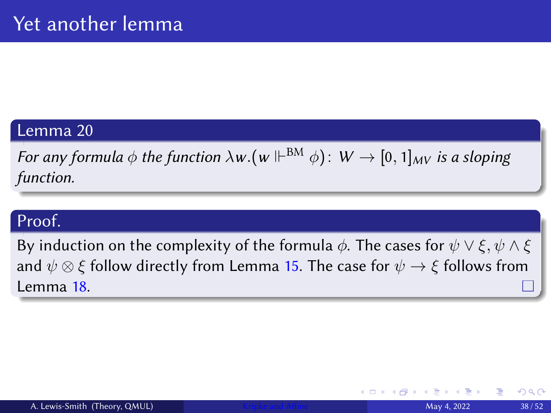### Lemma 20

For any formula  $\phi$  the function  $\lambda w. (w\Vdash^{\mathrm{BM}}\phi)\colon\thinspace W\to[0,1]_{MV}$  is a sloping function.

## Proof.

By induction on the complexity of the formula  $\phi$ . The cases for  $\psi \vee \xi$ ,  $\psi \wedge \xi$ and  $\psi \otimes \xi$  follow directly from Lemma [15.](#page-30-0) The case for  $\psi \to \xi$  follows from Lemma [18.](#page-35-0)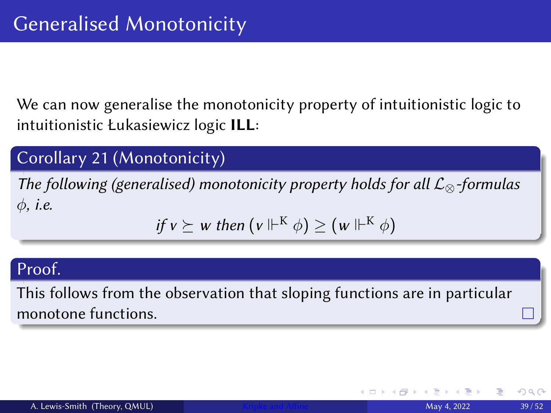We can now generalise the monotonicity property of intuitionistic logic to intuitionistic Łukasiewicz logic ILL:

## Corollary 21 (Monotonicity)

The following (generalised) monotonicity property holds for all  $\mathcal{L}_{\otimes}$ -formulas  $\phi$ , *i.e.* 

if 
$$
v \succeq w
$$
 then  $(v \Vdash^{K} \phi) \geq (w \Vdash^{K} \phi)$ 

#### Proof.

This follows from the observation that sloping functions are in particular monotone functions.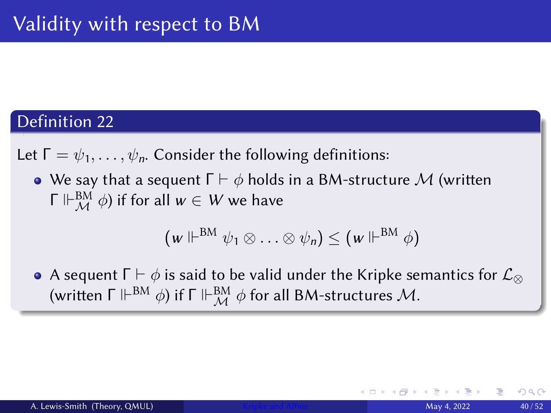Let  $\Gamma = \psi_1, \ldots, \psi_n$ . Consider the following definitions:

• We say that a sequent  $\Gamma \vdash \phi$  holds in a BM-structure M (written Γ  $\Vdash^{\operatorname{BM}}_{\mathcal{M}} \phi$ ) if for all  $w\in W$  we have

$$
(w \Vdash^{BM} \psi_1 \otimes \ldots \otimes \psi_n) \leq (w \Vdash^{BM} \phi)
$$

• A sequent  $\Gamma \vdash \phi$  is said to be valid under the Kripke semantics for  $\mathcal{L}_{\otimes}$ (written  $\mathsf{\Gamma} \Vdash^{\text{BM}} \phi$ ) if  $\mathsf{\Gamma} \Vdash^{\text{BM}}_{\mathcal{M}} \phi$  for all BM-structures  $\mathcal{M}.$ 

つひへ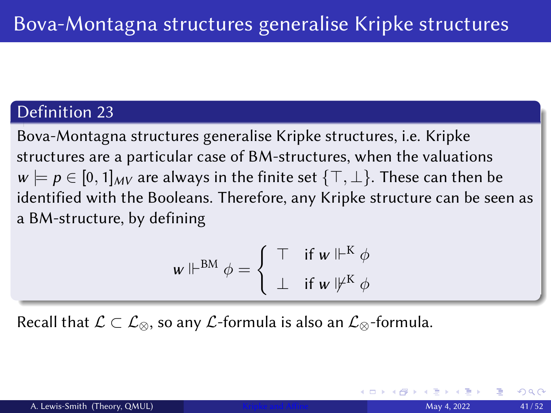Bova-Montagna structures generalise Kripke structures, i.e. Kripke structures are a particular case of BM-structures, when the valuations  $w \models p \in [0, 1]_{MV}$  are always in the finite set  $\{\top, \bot\}$ . These can then be identified with the Booleans. Therefore, any Kripke structure can be seen as a BM-structure, by defining

$$
w \Vdash^{BM} \phi = \left\{ \begin{array}{ll} \top & \text{if } w \Vdash^{K} \phi \\ \bot & \text{if } w \Vdash^{K} \phi \end{array} \right.
$$

Recall that  $\mathcal{L} \subset \mathcal{L}_{\otimes}$ , so any  $\mathcal{L}$ -formula is also an  $\mathcal{L}_{\otimes}$ -formula.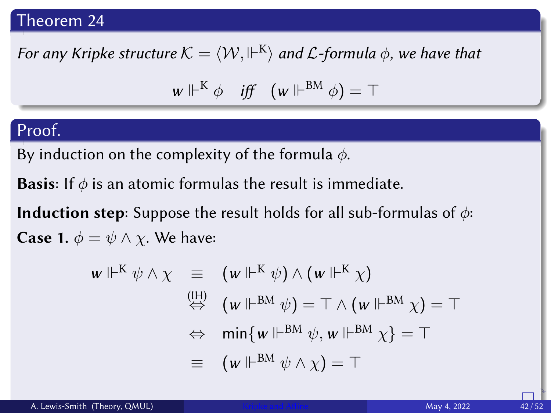#### Theorem 24

For any Kripke structure  $\mathcal{K}=\langle\mathcal{W},\Vdash^{\textsf{K}}\rangle$  and  $\mathcal{L}$ -formula  $\phi,$  we have that

$$
w \Vdash^{K} \phi \quad \text{iff} \quad (w \Vdash^{BM} \phi) = \top
$$

### Proof.

By induction on the complexity of the formula  $\phi$ .

**Basis:** If  $\phi$  is an atomic formulas the result is immediate.

**Induction step**: Suppose the result holds for all sub-formulas of  $\phi$ : **Case 1.**  $\phi = \psi \wedge \chi$ . We have:

$$
w \Vdash^{K} \psi \wedge \chi \equiv (w \Vdash^{K} \psi) \wedge (w \Vdash^{K} \chi)
$$
  
\n
$$
\stackrel{\text{(IH)}}{\Leftrightarrow} (w \Vdash^{BM} \psi) = \top \wedge (w \Vdash^{BM} \chi) = \top
$$
  
\n
$$
\Leftrightarrow \min \{w \Vdash^{BM} \psi, w \Vdash^{BM} \chi\} = \top
$$
  
\n
$$
\equiv (w \Vdash^{BM} \psi \wedge \chi) = \top
$$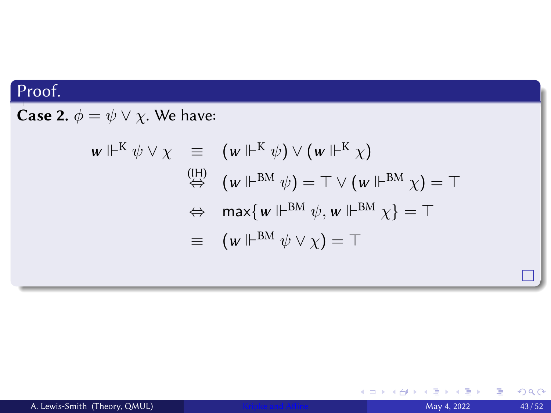**Case 2.**  $\phi = \psi \vee \chi$ . We have:

$$
\begin{array}{rcl}\n\mathbf{w} \Vdash^{K} \psi \vee \chi & \equiv & (\mathbf{w} \Vdash^{K} \psi) \vee (\mathbf{w} \Vdash^{K} \chi) \\
& \stackrel{\text{(IH)}}{\Leftrightarrow} & (\mathbf{w} \Vdash^{BM} \psi) = \top \vee (\mathbf{w} \Vdash^{BM} \chi) = \top \\
& \Leftrightarrow & \max \{ \mathbf{w} \Vdash^{BM} \psi, \mathbf{w} \Vdash^{BM} \chi \} = \top \\
& \equiv & (\mathbf{w} \Vdash^{BM} \psi \vee \chi) = \top\n\end{array}
$$

Ξ

(□ ) ( ) →

重

 $299$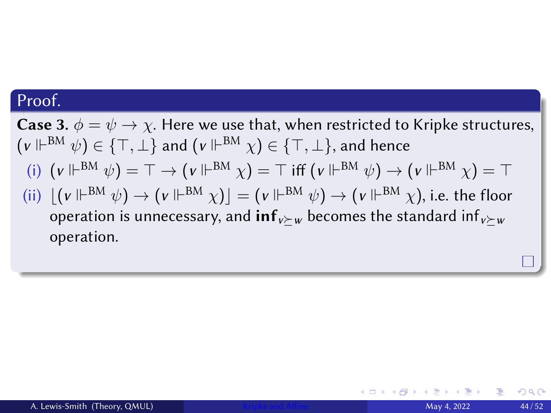**Case 3.**  $\phi = \psi \rightarrow \chi$ . Here we use that, when restricted to Kripke structures,  $(\mathsf{v} \Vdash^{\mathrm{BM}} \psi) \in \{\top, \bot\}$  and  $(\mathsf{v} \Vdash^{\mathrm{BM}} \chi) \in \{\top, \bot\},$  and hence (i)  $(v \Vdash^{\text{BM}} \psi) = \top \to (v \Vdash^{\text{BM}} \chi) = \top$  iff  $(v \Vdash^{\text{BM}} \psi) \to (v \Vdash^{\text{BM}} \chi) = \top$ (ii)  $\lfloor (v\Vdash^{BM} \psi) \to (v\Vdash^{BM} \chi) \rfloor = (v\Vdash^{BM} \psi) \to (v\Vdash^{BM} \chi),$  i.e. the floor operation is unnecessary, and  $inf_{v \succ w}$  becomes the standard  $inf_{v \succ w}$ operation.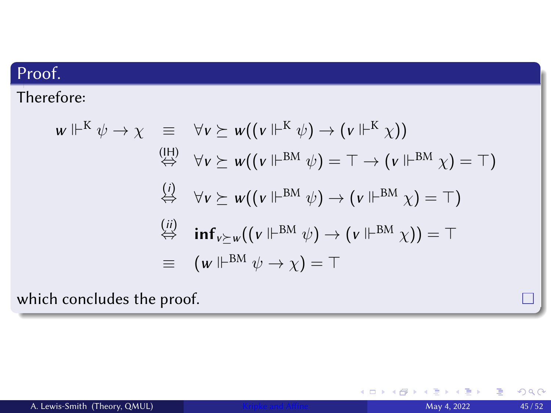Therefore:

$$
w \Vdash^{K} \psi \to \chi \equiv \forall v \succeq w((v \Vdash^{K} \psi) \to (v \Vdash^{K} \chi))
$$
  
\n
$$
\stackrel{\text{(II)}}{\Leftrightarrow} \forall v \succeq w((v \Vdash^{BM} \psi) = \top \to (v \Vdash^{BM} \chi) = \top)
$$
  
\n
$$
\stackrel{\text{(i)}}{\Leftrightarrow} \forall v \succeq w((v \Vdash^{BM} \psi) \to (v \Vdash^{BM} \chi) = \top)
$$
  
\n
$$
\stackrel{\text{(ii)}}{\Leftrightarrow} \text{inf}_{v \succeq w}((v \Vdash^{BM} \psi) \to (v \Vdash^{BM} \chi)) = \top
$$
  
\n
$$
\equiv (w \Vdash^{BM} \psi \to \chi) = \top
$$

which concludes the proof.

4.0.3.4

有 -b  $299$ 

Ēγ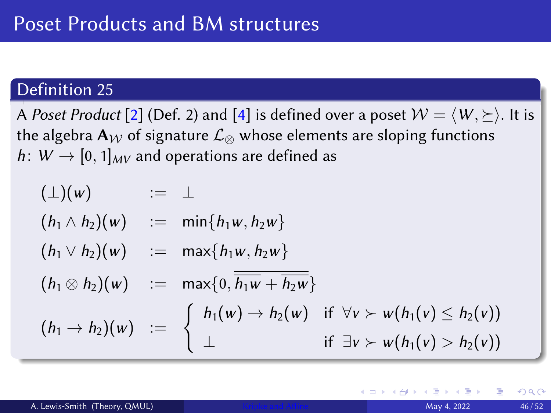A Poset Product [\[2\]](#page-53-3) (Def. 2) and [\[4\]](#page-53-2) is defined over a poset  $W = \langle W, \rangle$ . It is the algebra A<sub>W</sub> of signature  $\mathcal{L}_{\otimes}$  whose elements are sloping functions h:  $W \rightarrow [0, 1]_{MV}$  and operations are defined as

$$
( \bot ) ( w ) \qquad := \bot
$$
\n
$$
(h_1 \wedge h_2 ) ( w ) \qquad := \min \{ h_1 w, h_2 w \}
$$
\n
$$
(h_1 \vee h_2 ) ( w ) \qquad := \max \{ h_1 w, h_2 w \}
$$
\n
$$
(h_1 \otimes h_2 ) ( w ) \qquad := \max \{ 0, \overline{h_1 w + h_2 w} \}
$$
\n
$$
(h_1 \rightarrow h_2 ) ( w ) \qquad := \begin{cases} h_1 ( w ) \rightarrow h_2 ( w ) & \text{if } \forall v \succ w ( h_1 ( v ) \leq h_2 ( v ) ) \\ \bot & \text{if } \exists v \succ w ( h_1 ( v ) > h_2 ( v ) ) \end{cases}
$$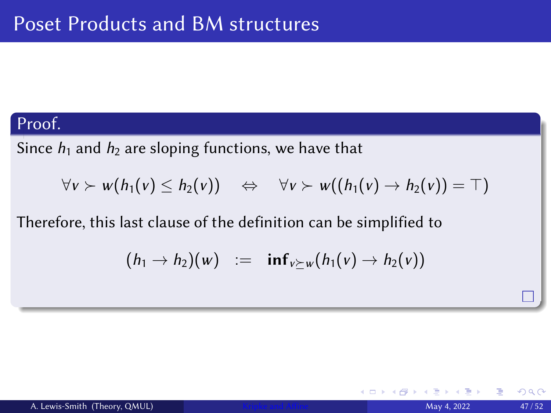Since  $h_1$  and  $h_2$  are sloping functions, we have that

$$
\forall v \succ w(h_1(v) \leq h_2(v)) \quad \Leftrightarrow \quad \forall v \succ w((h_1(v) \to h_2(v)) = \top)
$$

Therefore, this last clause of the definition can be simplified to

$$
(h_1 \rightarrow h_2)(w) := \inf_{v \succeq w}(h_1(v) \rightarrow h_2(v))
$$

4 0 8

つひひ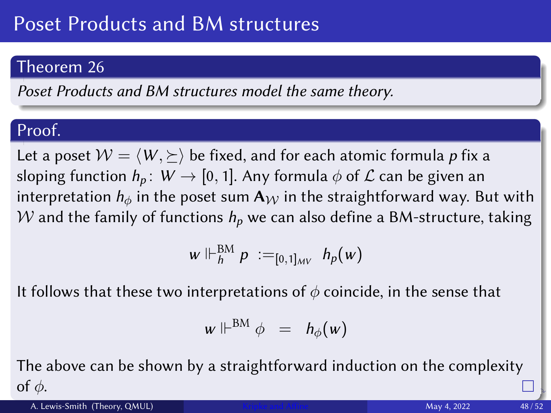## Poset Products and BM structures

## Theorem 26

Poset Products and BM structures model the same theory.

## Proof.

Let a poset  $W = \langle W, \succeq \rangle$  be fixed, and for each atomic formula p fix a sloping function  $h_p$ :  $W \rightarrow [0, 1]$ . Any formula  $\phi$  of  $\mathcal L$  can be given an interpretation  $h_{\phi}$  in the poset sum  $A_W$  in the straightforward way. But with W and the family of functions  $h_p$  we can also define a BM-structure, taking

$$
w \Vdash^{\text{BM}}_{h} p :=_{[0,1]_{MV}} h_p(w)
$$

It follows that these two interpretations of  $\phi$  coincide, in the sense that

$$
w \Vdash^{BM} \phi = h_{\phi}(w)
$$

The above can be shown by a straightforward induction on the complexity of  $\phi$ .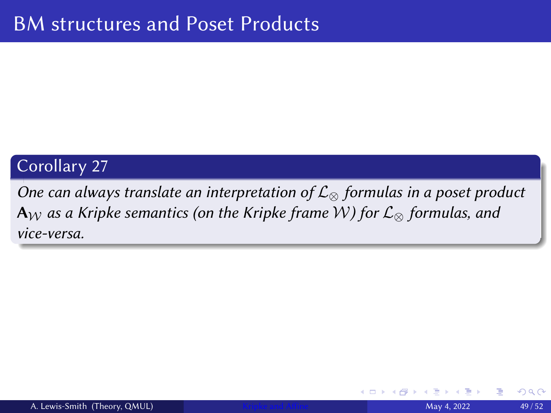### Corollary 27

One can always translate an interpretation of  $\mathcal{L}_{\infty}$  formulas in a poset product  $A_W$  as a Kripke semantics (on the Kripke frame W) for  $\mathcal{L}_{\otimes}$  formulas, and vice-versa.

つひひ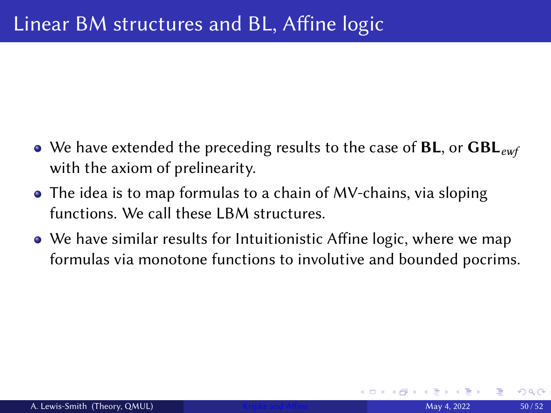- We have extended the preceding results to the case of  $BL$ , or  $GBL_{ewf}$ with the axiom of prelinearity.
- The idea is to map formulas to a chain of MV-chains, via sloping functions. We call these LBM structures.
- We have similar results for Intuitionistic Affine logic, where we map formulas via monotone functions to involutive and bounded pocrims.

 $2Q$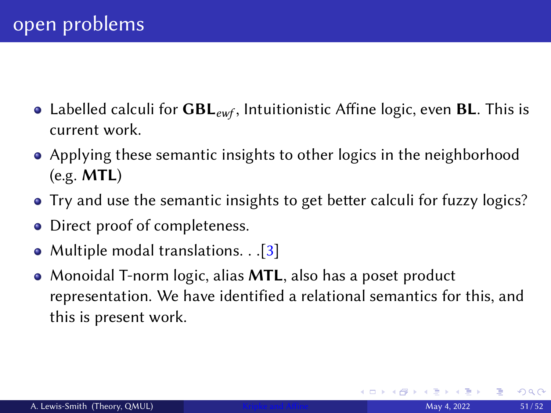- Labelled calculi for  $GBL_{ewf}$ , Intuitionistic Affine logic, even BL. This is current work.
- Applying these semantic insights to other logics in the neighborhood (e.g. MTL)
- Try and use the semantic insights to get better calculi for fuzzy logics?
- Direct proof of completeness.
- Multiple modal translations. . . [\[3\]](#page-53-4)
- Monoidal T-norm logic, alias **MTL**, also has a poset product representation. We have identified a relational semantics for this, and this is present work.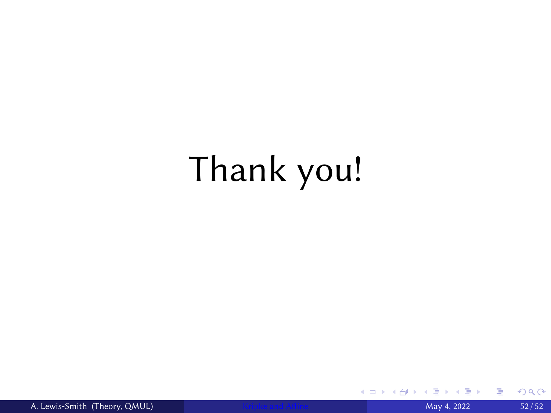# Thank you!

4.0.3.4

∍

目

 $299$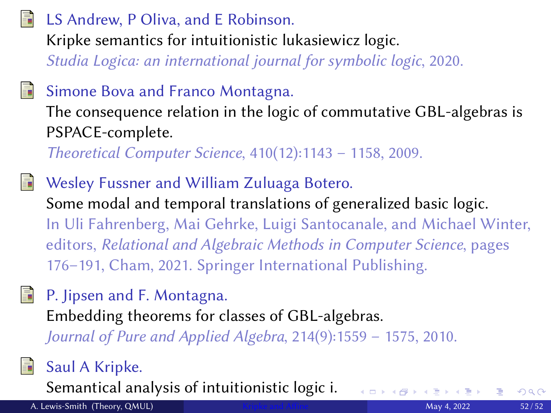## <span id="page-53-1"></span>LS Andrew, P Oliva, and E Robinson.

Kripke semantics for intuitionistic lukasiewicz logic.

Studia Logica: an international journal for symbolic logic, 2020.

## Simone Bova and Franco Montagna.

The consequence relation in the logic of commutative GBL-algebras is PSPACE-complete.

Theoretical Computer Science, 410(12):1143 – 1158, 2009.

<span id="page-53-4"></span>Wesley Fussner and William Zuluaga Botero. Some modal and temporal translations of generalized basic logic. In Uli Fahrenberg, Mai Gehrke, Luigi Santocanale, and Michael Winter, editors, Relational and Algebraic Methods in Computer Science, pages 176–191, Cham, 2021. Springer International Publishing.

<span id="page-53-2"></span>P. Jipsen and F. Montagna. Embedding theorems for classes of GBL-algebras. Journal of Pure and Applied Algebra, 214(9):1559 – 1575, 2010.

<span id="page-53-0"></span>

<span id="page-53-3"></span>記

## Saul A Kripke.

Semantical analysis of intuitionistic logic i.

A. Lewis-Smith (Theory, QMUL) **[Kripke and Affine](#page-0-0)** May 4, 2022 52/52 52/52

 $2Q$